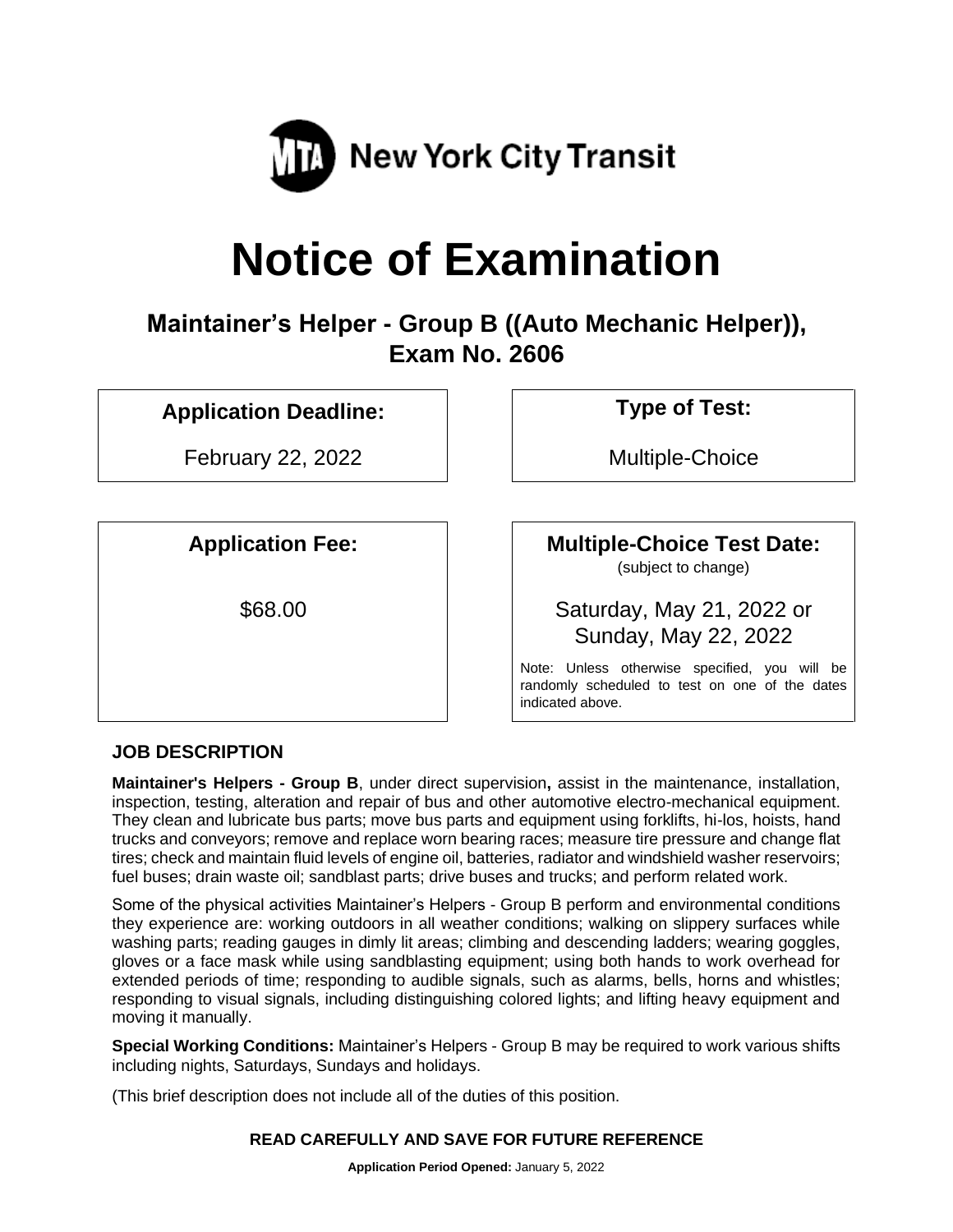

# **Notice of Examination**

**Maintainer's Helper - Group B ((Auto Mechanic Helper)), Exam No. 2606**

# **Application Deadline: Type of Test:**

February 22, 2022 and a multiple-Choice

# **Application Fee: Multiple-Choice Test Date:**

(subject to change)

\$68.00 Saturday, May 21, 2022 or Sunday, May 22, 2022

> Note: Unless otherwise specified, you will be randomly scheduled to test on one of the dates indicated above.

# **JOB DESCRIPTION**

**Maintainer's Helpers - Group B**, under direct supervision**,** assist in the maintenance, installation, inspection, testing, alteration and repair of bus and other automotive electro-mechanical equipment. They clean and lubricate bus parts; move bus parts and equipment using forklifts, hi-los, hoists, hand trucks and conveyors; remove and replace worn bearing races; measure tire pressure and change flat tires; check and maintain fluid levels of engine oil, batteries, radiator and windshield washer reservoirs; fuel buses; drain waste oil; sandblast parts; drive buses and trucks; and perform related work.

Some of the physical activities Maintainer's Helpers - Group B perform and environmental conditions they experience are: working outdoors in all weather conditions; walking on slippery surfaces while washing parts; reading gauges in dimly lit areas; climbing and descending ladders; wearing goggles, gloves or a face mask while using sandblasting equipment; using both hands to work overhead for extended periods of time; responding to audible signals, such as alarms, bells, horns and whistles; responding to visual signals, including distinguishing colored lights; and lifting heavy equipment and moving it manually.

**Special Working Conditions:** Maintainer's Helpers - Group B may be required to work various shifts including nights, Saturdays, Sundays and holidays.

(This brief description does not include all of the duties of this position.

#### **READ CAREFULLY AND SAVE FOR FUTURE REFERENCE**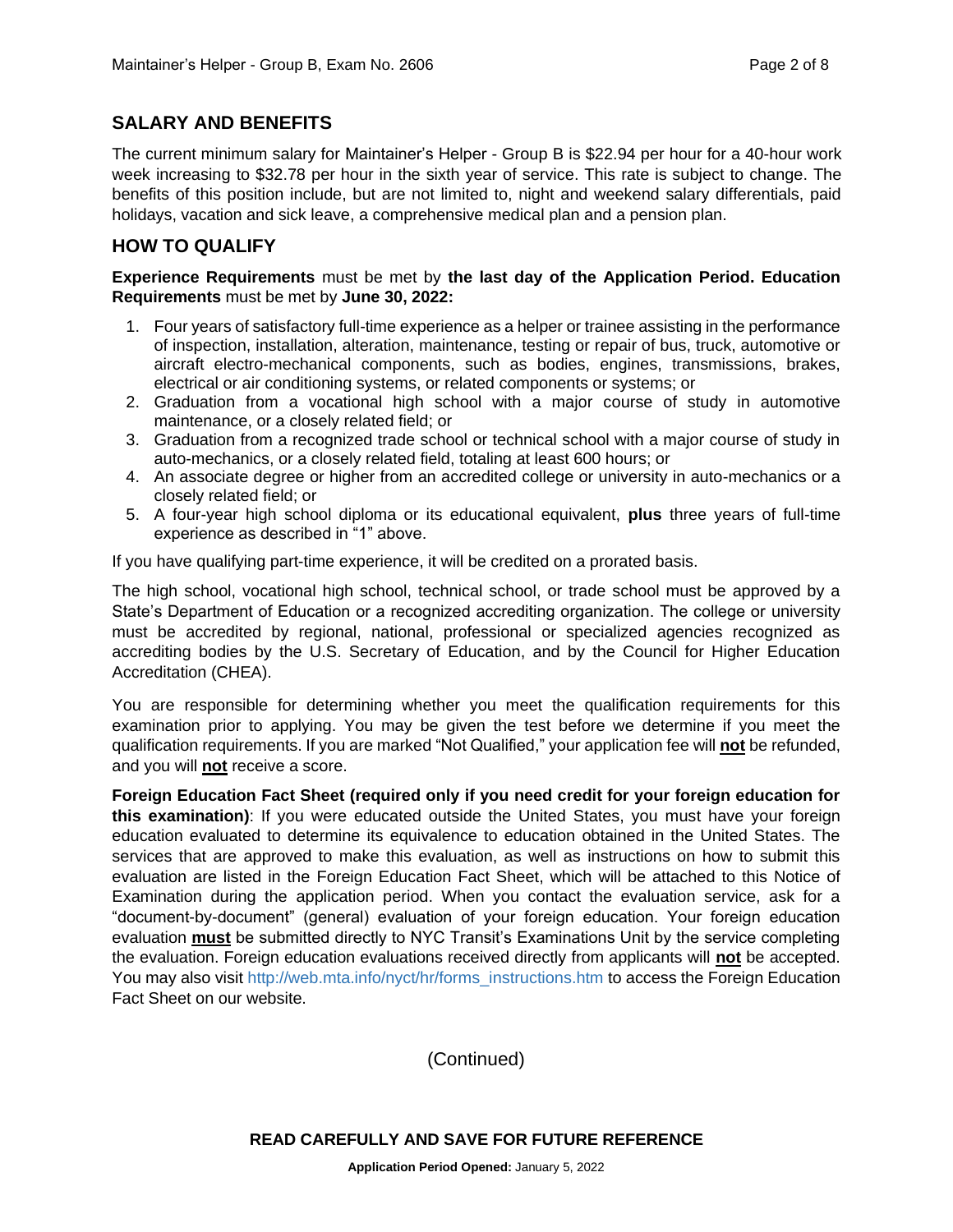# **SALARY AND BENEFITS**

The current minimum salary for Maintainer's Helper - Group B is \$22.94 per hour for a 40-hour work week increasing to \$32.78 per hour in the sixth year of service. This rate is subject to change. The benefits of this position include, but are not limited to, night and weekend salary differentials, paid holidays, vacation and sick leave, a comprehensive medical plan and a pension plan.

# **HOW TO QUALIFY**

#### **Experience Requirements** must be met by **the last day of the Application Period. Education Requirements** must be met by **June 30, 2022:**

- 1. Four years of satisfactory full-time experience as a helper or trainee assisting in the performance of inspection, installation, alteration, maintenance, testing or repair of bus, truck, automotive or aircraft electro-mechanical components, such as bodies, engines, transmissions, brakes, electrical or air conditioning systems, or related components or systems; or
- 2. Graduation from a vocational high school with a major course of study in automotive maintenance, or a closely related field; or
- 3. Graduation from a recognized trade school or technical school with a major course of study in auto-mechanics, or a closely related field, totaling at least 600 hours; or
- 4. An associate degree or higher from an accredited college or university in auto-mechanics or a closely related field; or
- 5. A four-year high school diploma or its educational equivalent, **plus** three years of full-time experience as described in "1" above.

If you have qualifying part-time experience, it will be credited on a prorated basis.

The high school, vocational high school, technical school, or trade school must be approved by a State's Department of Education or a recognized accrediting organization. The college or university must be accredited by regional, national, professional or specialized agencies recognized as accrediting bodies by the U.S. Secretary of Education, and by the Council for Higher Education Accreditation (CHEA).

You are responsible for determining whether you meet the qualification requirements for this examination prior to applying. You may be given the test before we determine if you meet the qualification requirements. If you are marked "Not Qualified," your application fee will **not** be refunded, and you will **not** receive a score.

**Foreign Education Fact Sheet (required only if you need credit for your foreign education for this examination)**: If you were educated outside the United States, you must have your foreign education evaluated to determine its equivalence to education obtained in the United States. The services that are approved to make this evaluation, as well as instructions on how to submit this evaluation are listed in the Foreign Education Fact Sheet, which will be attached to this Notice of Examination during the application period. When you contact the evaluation service, ask for a "document-by-document" (general) evaluation of your foreign education. Your foreign education evaluation **must** be submitted directly to NYC Transit's Examinations Unit by the service completing the evaluation. Foreign education evaluations received directly from applicants will **not** be accepted. You may also visit [http://web.mta.info/nyct/hr/forms\\_instructions.htm](http://web.mta.info/nyct/hr/forms_instructions.htm) to access the Foreign Education Fact Sheet on our website.

(Continued)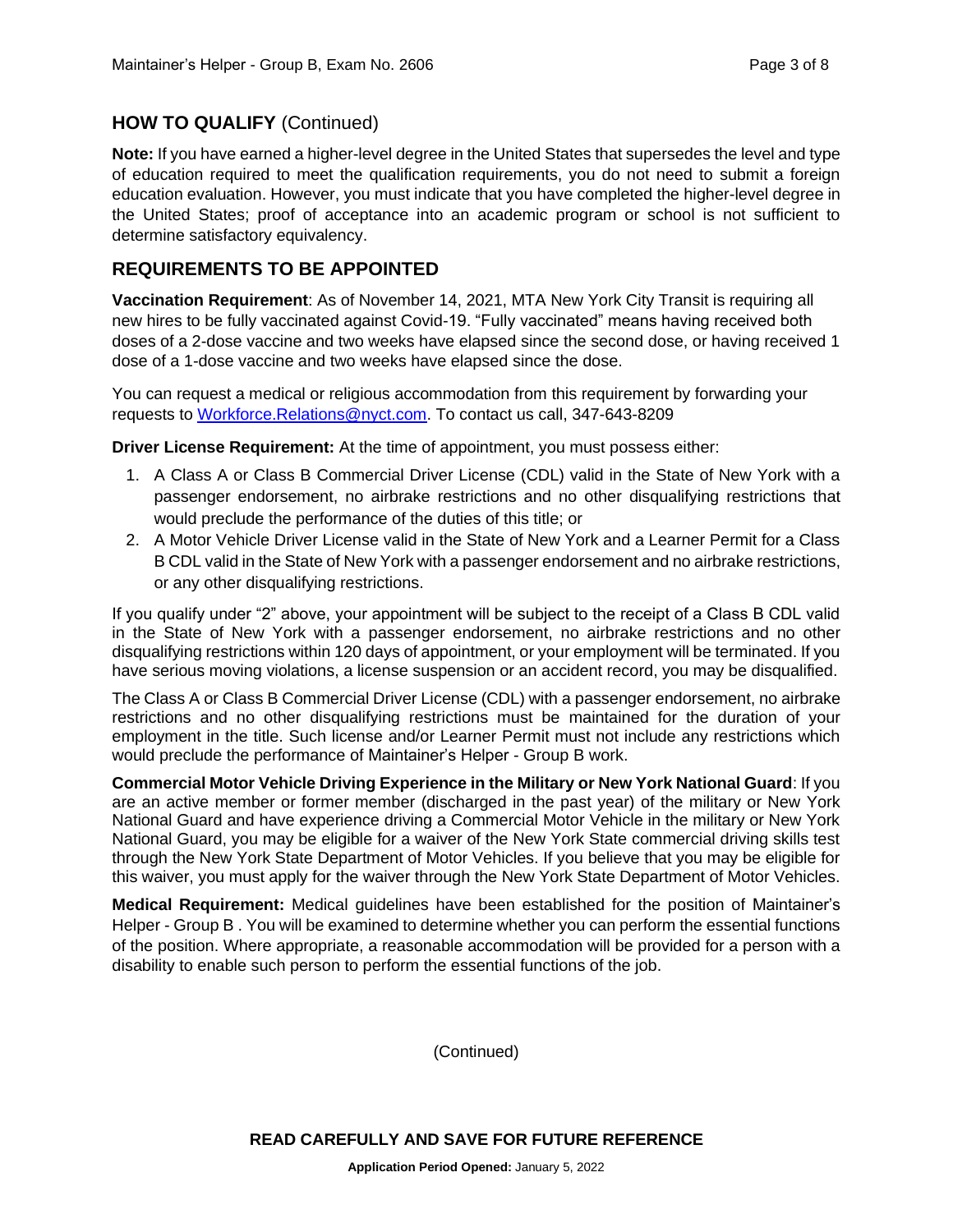## **HOW TO QUALIFY** (Continued)

**Note:** If you have earned a higher-level degree in the United States that supersedes the level and type of education required to meet the qualification requirements, you do not need to submit a foreign education evaluation. However, you must indicate that you have completed the higher-level degree in the United States; proof of acceptance into an academic program or school is not sufficient to determine satisfactory equivalency.

## **REQUIREMENTS TO BE APPOINTED**

**Vaccination Requirement**: As of November 14, 2021, MTA New York City Transit is requiring all new hires to be fully vaccinated against Covid-19. "Fully vaccinated" means having received both doses of a 2-dose vaccine and two weeks have elapsed since the second dose, or having received 1 dose of a 1-dose vaccine and two weeks have elapsed since the dose.

You can request a medical or religious accommodation from this requirement by forwarding your requests to [Workforce.Relations@nyct.com.](mailto:Workforce.Relations@nyct.com) To contact us call, 347-643-8209

**Driver License Requirement:** At the time of appointment, you must possess either:

- 1. A Class A or Class B Commercial Driver License (CDL) valid in the State of New York with a passenger endorsement, no airbrake restrictions and no other disqualifying restrictions that would preclude the performance of the duties of this title; or
- 2. A Motor Vehicle Driver License valid in the State of New York and a Learner Permit for a Class B CDL valid in the State of New York with a passenger endorsement and no airbrake restrictions, or any other disqualifying restrictions.

If you qualify under "2" above, your appointment will be subject to the receipt of a Class B CDL valid in the State of New York with a passenger endorsement, no airbrake restrictions and no other disqualifying restrictions within 120 days of appointment, or your employment will be terminated. If you have serious moving violations, a license suspension or an accident record, you may be disqualified.

The Class A or Class B Commercial Driver License (CDL) with a passenger endorsement, no airbrake restrictions and no other disqualifying restrictions must be maintained for the duration of your employment in the title. Such license and/or Learner Permit must not include any restrictions which would preclude the performance of Maintainer's Helper - Group B work.

**Commercial Motor Vehicle Driving Experience in the Military or New York National Guard**: If you are an active member or former member (discharged in the past year) of the military or New York National Guard and have experience driving a Commercial Motor Vehicle in the military or New York National Guard, you may be eligible for a waiver of the New York State commercial driving skills test through the New York State Department of Motor Vehicles. If you believe that you may be eligible for this waiver, you must apply for the waiver through the New York State Department of Motor Vehicles.

**Medical Requirement:** Medical guidelines have been established for the position of Maintainer's Helper - Group B . You will be examined to determine whether you can perform the essential functions of the position. Where appropriate, a reasonable accommodation will be provided for a person with a disability to enable such person to perform the essential functions of the job.

(Continued)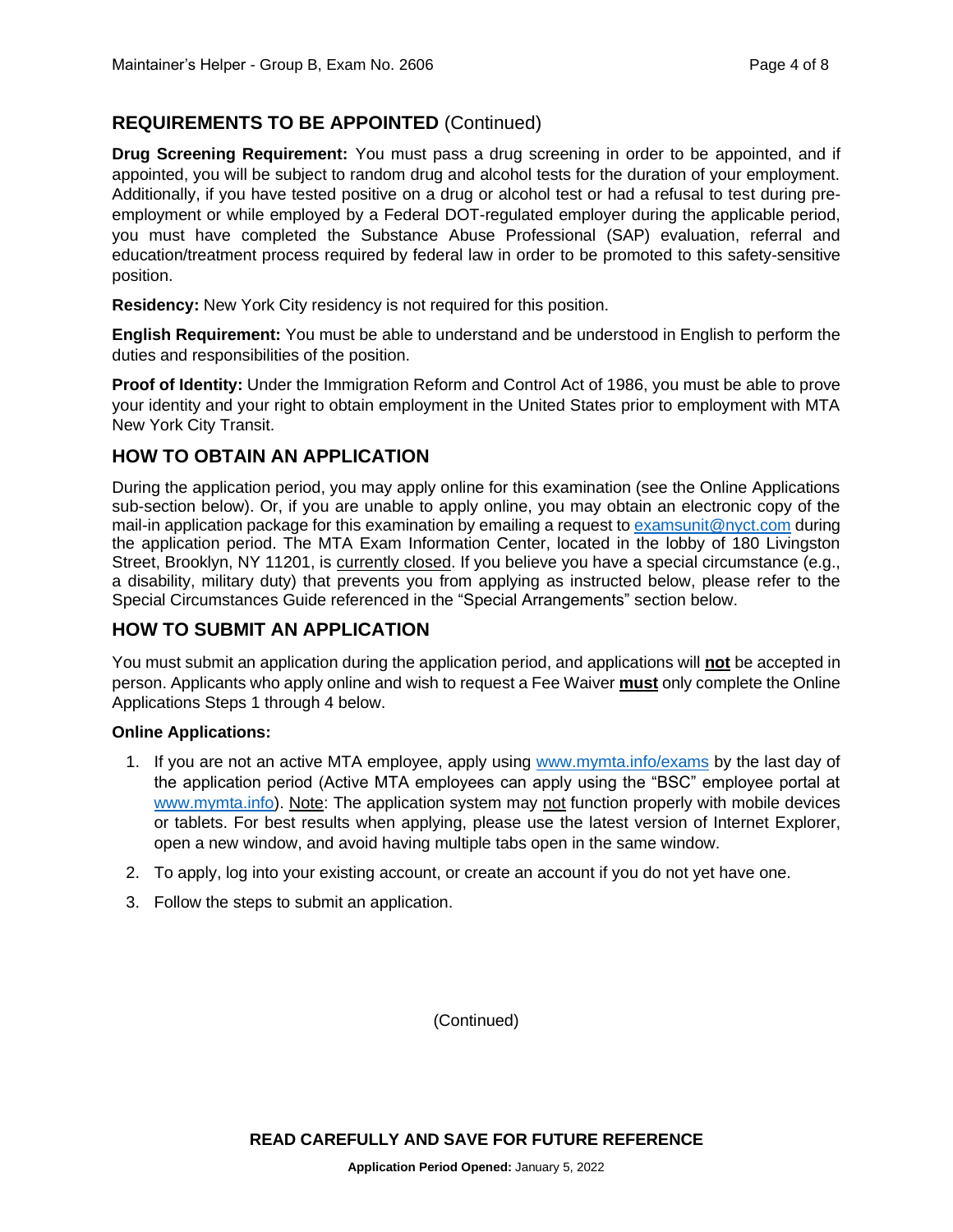# **REQUIREMENTS TO BE APPOINTED** (Continued)

**Drug Screening Requirement:** You must pass a drug screening in order to be appointed, and if appointed, you will be subject to random drug and alcohol tests for the duration of your employment. Additionally, if you have tested positive on a drug or alcohol test or had a refusal to test during preemployment or while employed by a Federal DOT-regulated employer during the applicable period, you must have completed the Substance Abuse Professional (SAP) evaluation, referral and education/treatment process required by federal law in order to be promoted to this safety-sensitive position.

**Residency:** New York City residency is not required for this position.

**English Requirement:** You must be able to understand and be understood in English to perform the duties and responsibilities of the position.

**Proof of Identity:** Under the Immigration Reform and Control Act of 1986, you must be able to prove your identity and your right to obtain employment in the United States prior to employment with MTA New York City Transit.

### **HOW TO OBTAIN AN APPLICATION**

During the application period, you may apply online for this examination (see the Online Applications sub-section below). Or, if you are unable to apply online, you may obtain an electronic copy of the mail-in application package for this examination by emailing a request to [examsunit@nyct.com](mailto:examsunit@nyct.com) during the application period. The MTA Exam Information Center, located in the lobby of 180 Livingston Street, Brooklyn, NY 11201, is currently closed. If you believe you have a special circumstance (e.g., a disability, military duty) that prevents you from applying as instructed below, please refer to the Special Circumstances Guide referenced in the "Special Arrangements" section below.

#### **HOW TO SUBMIT AN APPLICATION**

You must submit an application during the application period, and applications will **not** be accepted in person. Applicants who apply online and wish to request a Fee Waiver **must** only complete the Online Applications Steps 1 through 4 below.

#### **Online Applications:**

- 1. If you are not an active MTA employee, apply using [www.mymta.info/exams](http://www.mymta.info/exams) by the last day of the application period (Active MTA employees can apply using the "BSC" employee portal at [www.mymta.info\)](http://www.mymta.info/). Note: The application system may not function properly with mobile devices or tablets. For best results when applying, please use the latest version of Internet Explorer, open a new window, and avoid having multiple tabs open in the same window.
- 2. To apply, log into your existing account, or create an account if you do not yet have one.
- 3. Follow the steps to submit an application.

(Continued)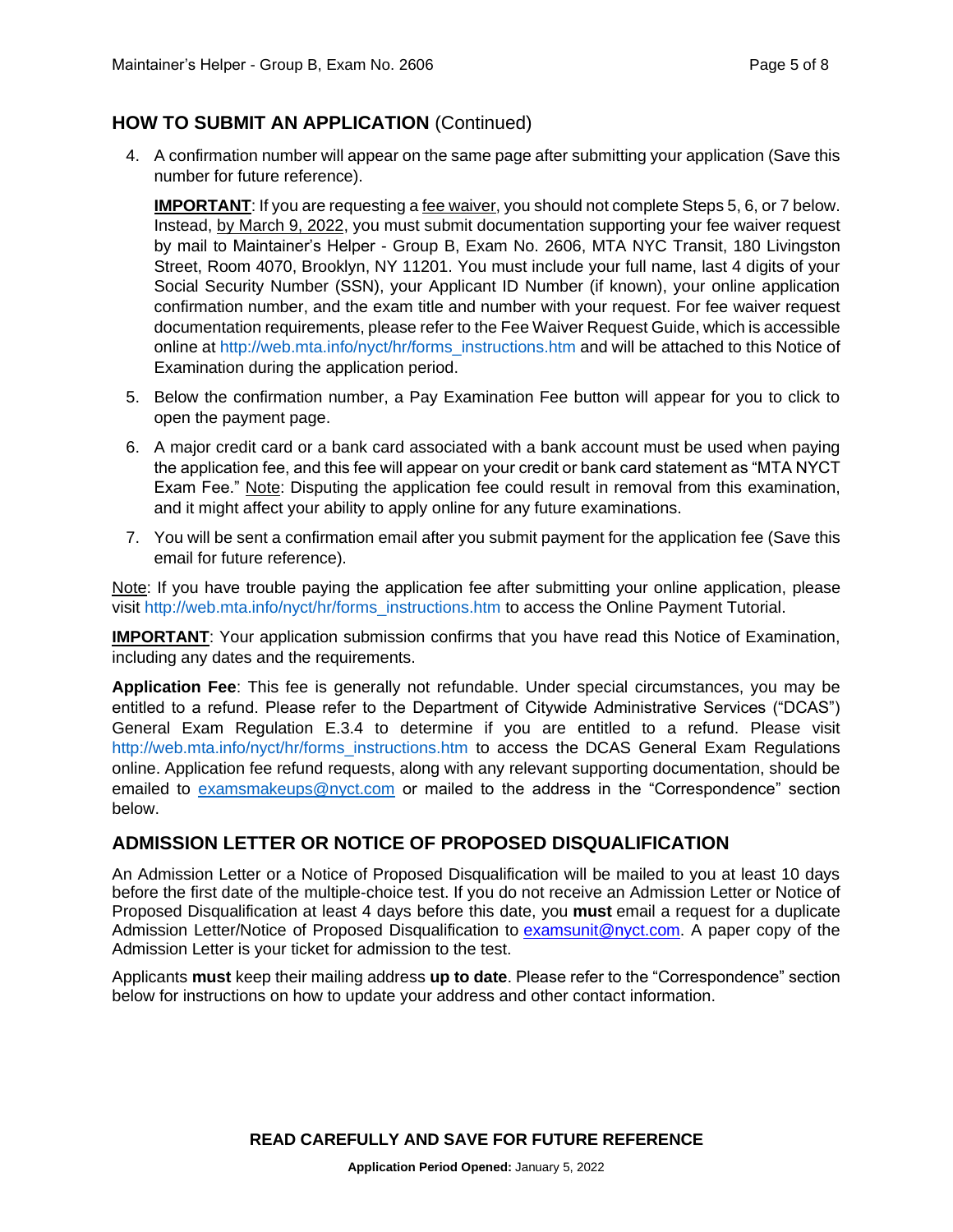# **HOW TO SUBMIT AN APPLICATION** (Continued)

4. A confirmation number will appear on the same page after submitting your application (Save this number for future reference).

**IMPORTANT:** If you are requesting a fee waiver, you should not complete Steps 5, 6, or 7 below. Instead, by March 9, 2022, you must submit documentation supporting your fee waiver request by mail to Maintainer's Helper - Group B, Exam No. 2606, MTA NYC Transit, 180 Livingston Street, Room 4070, Brooklyn, NY 11201. You must include your full name, last 4 digits of your Social Security Number (SSN), your Applicant ID Number (if known), your online application confirmation number, and the exam title and number with your request. For fee waiver request documentation requirements, please refer to the Fee Waiver Request Guide, which is accessible online at [http://web.mta.info/nyct/hr/forms\\_instructions.htm](http://web.mta.info/nyct/hr/forms_instructions.htm) and will be attached to this Notice of Examination during the application period.

- 5. Below the confirmation number, a Pay Examination Fee button will appear for you to click to open the payment page.
- 6. A major credit card or a bank card associated with a bank account must be used when paying the application fee, and this fee will appear on your credit or bank card statement as "MTA NYCT Exam Fee." Note: Disputing the application fee could result in removal from this examination, and it might affect your ability to apply online for any future examinations.
- 7. You will be sent a confirmation email after you submit payment for the application fee (Save this email for future reference).

Note: If you have trouble paying the application fee after submitting your online application, please visit [http://web.mta.info/nyct/hr/forms\\_instructions.htm](http://web.mta.info/nyct/hr/forms_instructions.htm) to access the Online Payment Tutorial.

**IMPORTANT:** Your application submission confirms that you have read this Notice of Examination, including any dates and the requirements.

**Application Fee**: This fee is generally not refundable. Under special circumstances, you may be entitled to a refund. Please refer to the Department of Citywide Administrative Services ("DCAS") General Exam Regulation E.3.4 to determine if you are entitled to a refund. Please visit [http://web.mta.info/nyct/hr/forms\\_instructions.htm](http://web.mta.info/nyct/hr/forms_instructions.htm) to access the DCAS General Exam Regulations online. Application fee refund requests, along with any relevant supporting documentation, should be emailed to [examsmakeups@nyct.com](mailto:examsmakeups@nyct.com) or mailed to the address in the "Correspondence" section below.

# **ADMISSION LETTER OR NOTICE OF PROPOSED DISQUALIFICATION**

An Admission Letter or a Notice of Proposed Disqualification will be mailed to you at least 10 days before the first date of the multiple-choice test. If you do not receive an Admission Letter or Notice of Proposed Disqualification at least 4 days before this date, you **must** email a request for a duplicate Admission Letter/Notice of Proposed Disqualification to [examsunit@nyct.com.](mailto:examsunit@nyct.com) A paper copy of the Admission Letter is your ticket for admission to the test.

Applicants **must** keep their mailing address **up to date**. Please refer to the "Correspondence" section below for instructions on how to update your address and other contact information.

**READ CAREFULLY AND SAVE FOR FUTURE REFERENCE**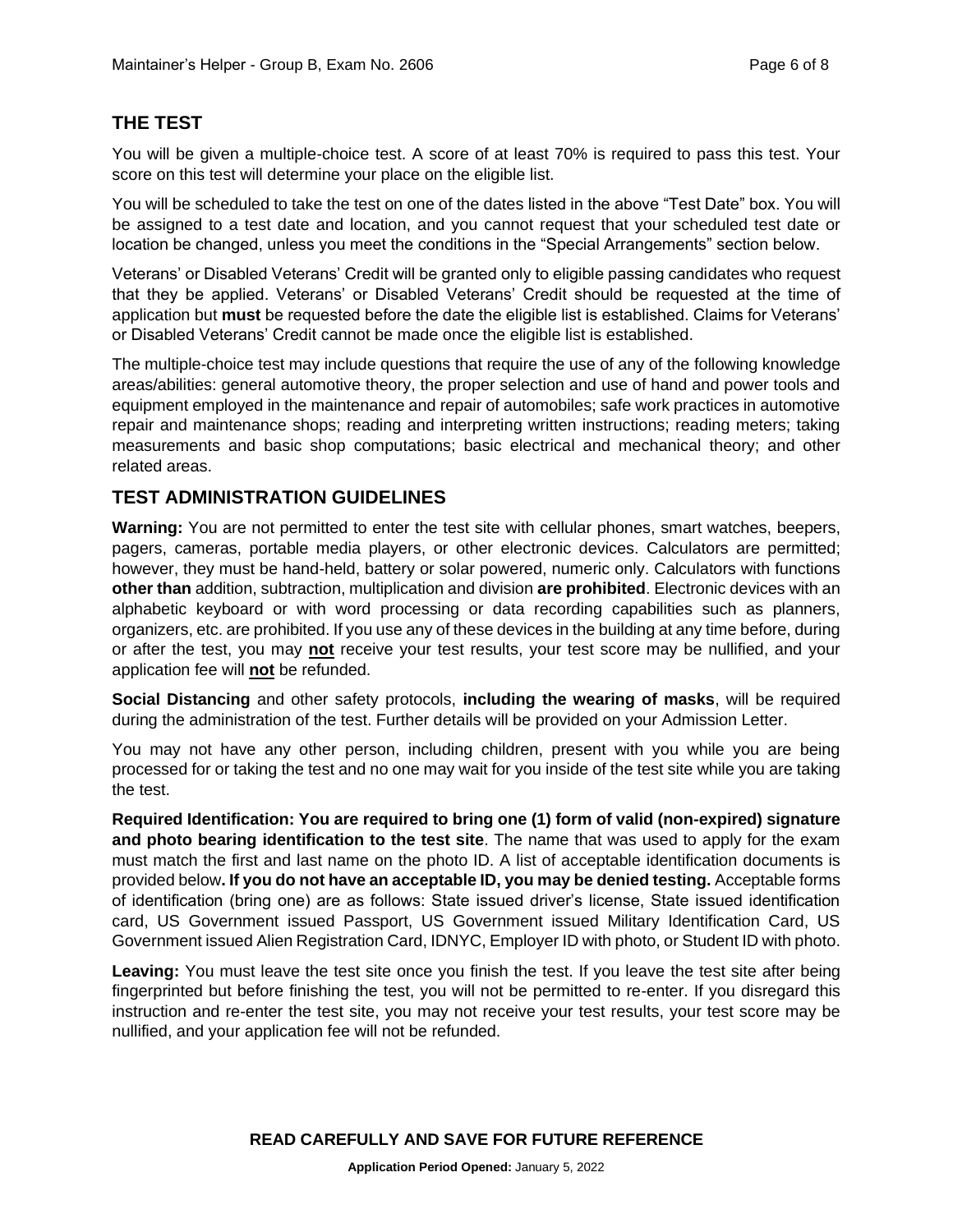# **THE TEST**

You will be given a multiple-choice test. A score of at least 70% is required to pass this test. Your score on this test will determine your place on the eligible list.

You will be scheduled to take the test on one of the dates listed in the above "Test Date" box. You will be assigned to a test date and location, and you cannot request that your scheduled test date or location be changed, unless you meet the conditions in the "Special Arrangements" section below.

Veterans' or Disabled Veterans' Credit will be granted only to eligible passing candidates who request that they be applied. Veterans' or Disabled Veterans' Credit should be requested at the time of application but **must** be requested before the date the eligible list is established. Claims for Veterans' or Disabled Veterans' Credit cannot be made once the eligible list is established.

The multiple-choice test may include questions that require the use of any of the following knowledge areas/abilities: general automotive theory, the proper selection and use of hand and power tools and equipment employed in the maintenance and repair of automobiles; safe work practices in automotive repair and maintenance shops; reading and interpreting written instructions; reading meters; taking measurements and basic shop computations; basic electrical and mechanical theory; and other related areas.

# **TEST ADMINISTRATION GUIDELINES**

**Warning:** You are not permitted to enter the test site with cellular phones, smart watches, beepers, pagers, cameras, portable media players, or other electronic devices. Calculators are permitted; however, they must be hand-held, battery or solar powered, numeric only. Calculators with functions **other than** addition, subtraction, multiplication and division **are prohibited**. Electronic devices with an alphabetic keyboard or with word processing or data recording capabilities such as planners, organizers, etc. are prohibited. If you use any of these devices in the building at any time before, during or after the test, you may **not** receive your test results, your test score may be nullified, and your application fee will **not** be refunded.

**Social Distancing** and other safety protocols, **including the wearing of masks**, will be required during the administration of the test. Further details will be provided on your Admission Letter.

You may not have any other person, including children, present with you while you are being processed for or taking the test and no one may wait for you inside of the test site while you are taking the test.

**Required Identification: You are required to bring one (1) form of valid (non-expired) signature and photo bearing identification to the test site**. The name that was used to apply for the exam must match the first and last name on the photo ID. A list of acceptable identification documents is provided below**. If you do not have an acceptable ID, you may be denied testing.** Acceptable forms of identification (bring one) are as follows: State issued driver's license, State issued identification card, US Government issued Passport, US Government issued Military Identification Card, US Government issued Alien Registration Card, IDNYC, Employer ID with photo, or Student ID with photo.

**Leaving:** You must leave the test site once you finish the test. If you leave the test site after being fingerprinted but before finishing the test, you will not be permitted to re-enter. If you disregard this instruction and re-enter the test site, you may not receive your test results, your test score may be nullified, and your application fee will not be refunded.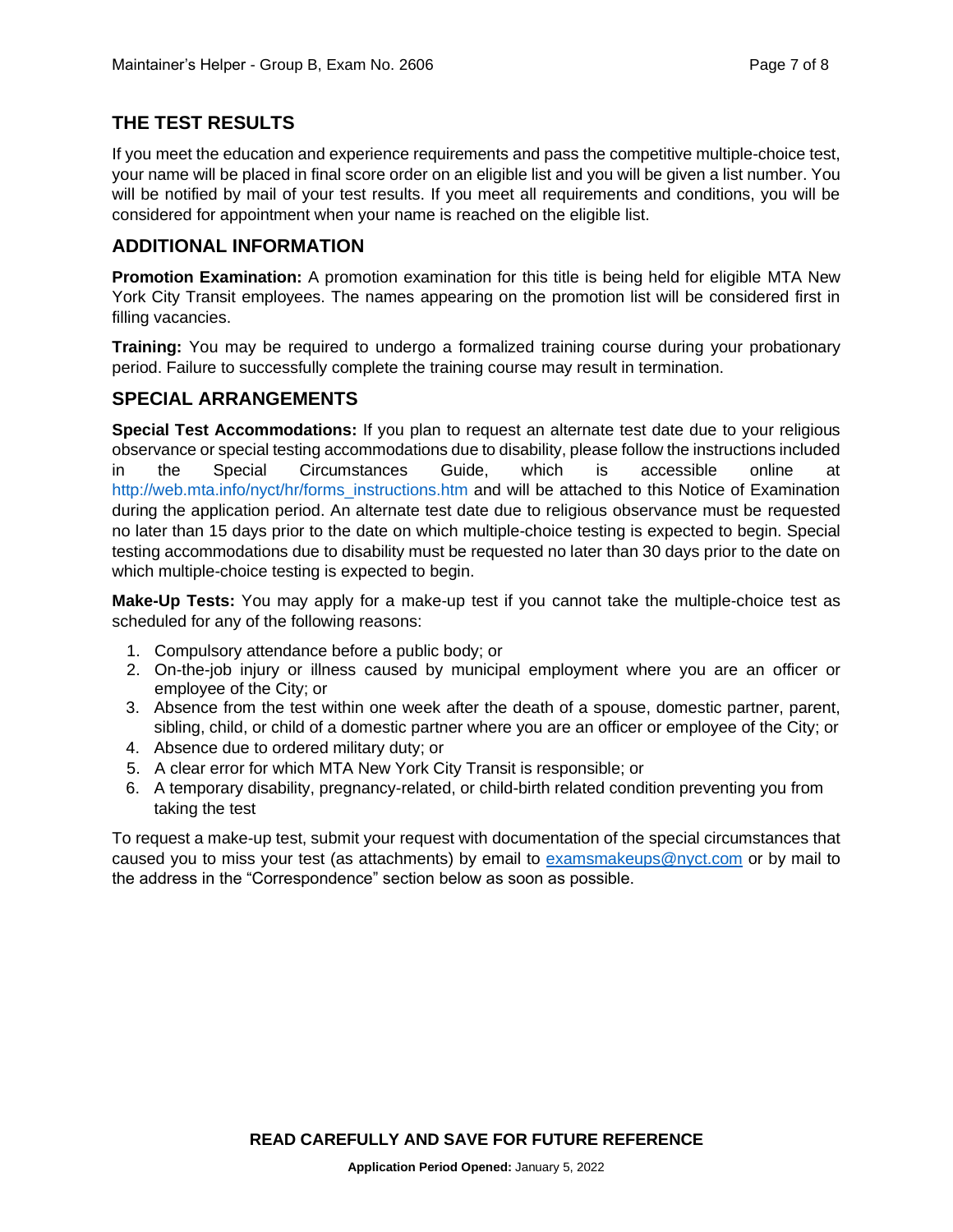# **THE TEST RESULTS**

If you meet the education and experience requirements and pass the competitive multiple-choice test, your name will be placed in final score order on an eligible list and you will be given a list number. You will be notified by mail of your test results. If you meet all requirements and conditions, you will be considered for appointment when your name is reached on the eligible list.

#### **ADDITIONAL INFORMATION**

**Promotion Examination:** A promotion examination for this title is being held for eligible MTA New York City Transit employees. The names appearing on the promotion list will be considered first in filling vacancies.

**Training:** You may be required to undergo a formalized training course during your probationary period. Failure to successfully complete the training course may result in termination.

#### **SPECIAL ARRANGEMENTS**

**Special Test Accommodations:** If you plan to request an alternate test date due to your religious observance or special testing accommodations due to disability, please follow the instructions included in the Special Circumstances Guide, which is accessible online at [http://web.mta.info/nyct/hr/forms\\_instructions.htm](http://web.mta.info/nyct/hr/forms_instructions.htm) and will be attached to this Notice of Examination during the application period. An alternate test date due to religious observance must be requested no later than 15 days prior to the date on which multiple-choice testing is expected to begin. Special testing accommodations due to disability must be requested no later than 30 days prior to the date on which multiple-choice testing is expected to begin.

**Make-Up Tests:** You may apply for a make-up test if you cannot take the multiple-choice test as scheduled for any of the following reasons:

- 1. Compulsory attendance before a public body; or
- 2. On-the-job injury or illness caused by municipal employment where you are an officer or employee of the City; or
- 3. Absence from the test within one week after the death of a spouse, domestic partner, parent, sibling, child, or child of a domestic partner where you are an officer or employee of the City; or
- 4. Absence due to ordered military duty; or
- 5. A clear error for which MTA New York City Transit is responsible; or
- 6. A temporary disability, pregnancy-related, or child-birth related condition preventing you from taking the test

To request a make-up test, submit your request with documentation of the special circumstances that caused you to miss your test (as attachments) by email to [examsmakeups@nyct.com](mailto:examsmakeups@nyct.com) or by mail to the address in the "Correspondence" section below as soon as possible.